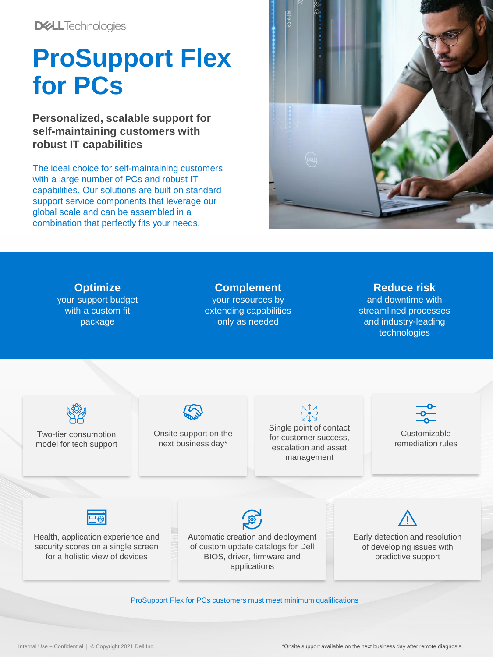**DELL**Technologies

## **ProSupport Flex for PCs**

**Personalized, scalable support for self-maintaining customers with robust IT capabilities**

The ideal choice for self-maintaining customers with a large number of PCs and robust IT capabilities. Our solutions are built on standard support service components that leverage our global scale and can be assembled in a combination that perfectly fits your needs.





ProSupport Flex for PCs customers must meet minimum qualifications